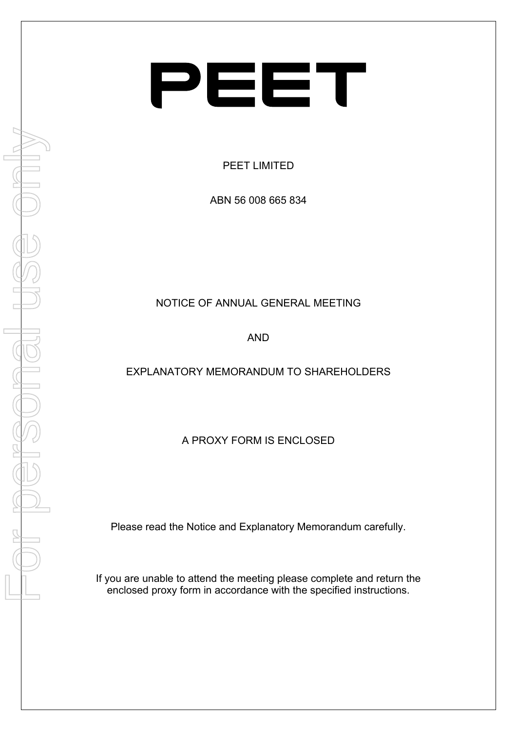# PEET

PEET LIMITED

ABN 56 008 665 834

### NOTICE OF ANNUAL GENERAL MEETING

AND

EXPLANATORY MEMORANDUM TO SHAREHOLDERS

A PROXY FORM IS ENCLOSED

Please read the Notice and Explanatory Memorandum carefully.

If you are unable to attend the meeting please complete and return the enclosed proxy form in accordance with the specified instructions.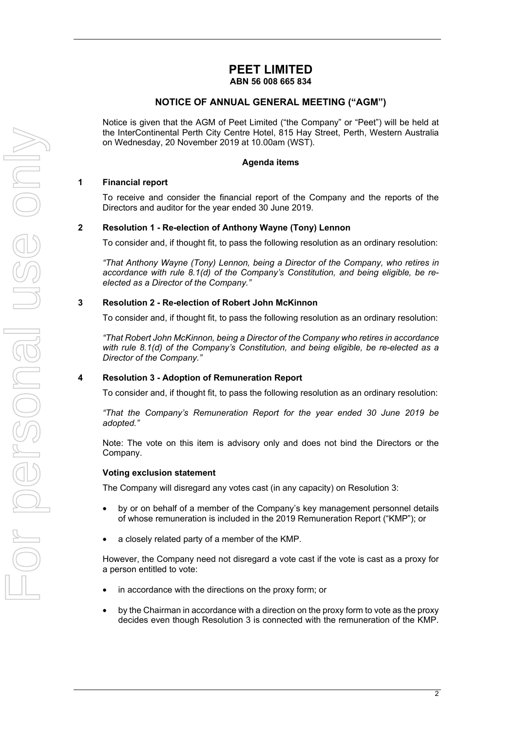#### **PEET LIMITED ABN 56 008 665 834**

#### **NOTICE OF ANNUAL GENERAL MEETING ("AGM")**

Notice is given that the AGM of Peet Limited ("the Company" or "Peet") will be held at the InterContinental Perth City Centre Hotel, 815 Hay Street, Perth, Western Australia on Wednesday, 20 November 2019 at 10.00am (WST).

#### **Agenda items**

#### **1 Financial report**

To receive and consider the financial report of the Company and the reports of the Directors and auditor for the year ended 30 June 2019.

#### **2 Resolution 1 - Re-election of Anthony Wayne (Tony) Lennon**

To consider and, if thought fit, to pass the following resolution as an ordinary resolution:

*"That Anthony Wayne (Tony) Lennon, being a Director of the Company, who retires in accordance with rule 8.1(d) of the Company's Constitution, and being eligible, be reelected as a Director of the Company."* 

#### **3 Resolution 2 - Re-election of Robert John McKinnon**

To consider and, if thought fit, to pass the following resolution as an ordinary resolution:

*"That Robert John McKinnon, being a Director of the Company who retires in accordance with rule 8.1(d) of the Company's Constitution, and being eligible, be re-elected as a Director of the Company."* 

#### **4 Resolution 3 - Adoption of Remuneration Report**

To consider and, if thought fit, to pass the following resolution as an ordinary resolution:

*"That the Company's Remuneration Report for the year ended 30 June 2019 be adopted."* 

Note: The vote on this item is advisory only and does not bind the Directors or the Company.

#### **Voting exclusion statement**

The Company will disregard any votes cast (in any capacity) on Resolution 3:

- by or on behalf of a member of the Company's key management personnel details of whose remuneration is included in the 2019 Remuneration Report ("KMP"); or
- a closely related party of a member of the KMP.

However, the Company need not disregard a vote cast if the vote is cast as a proxy for a person entitled to vote:

- in accordance with the directions on the proxy form; or
- by the Chairman in accordance with a direction on the proxy form to vote as the proxy decides even though Resolution 3 is connected with the remuneration of the KMP.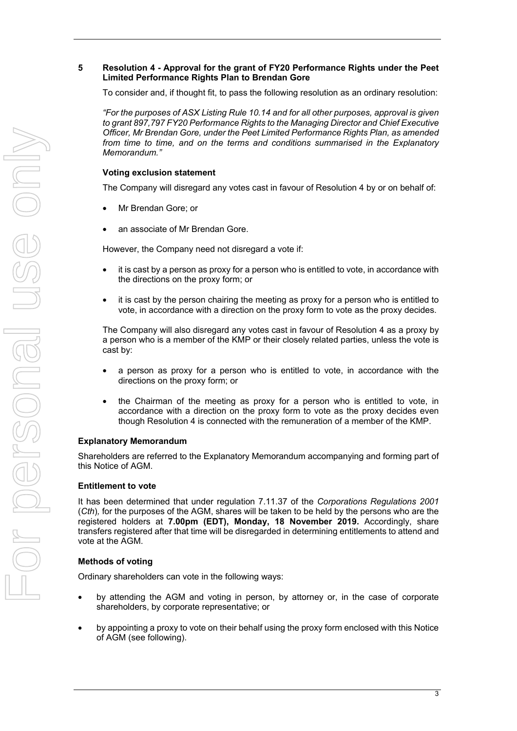#### **5 Resolution 4 - Approval for the grant of FY20 Performance Rights under the Peet Limited Performance Rights Plan to Brendan Gore**

To consider and, if thought fit, to pass the following resolution as an ordinary resolution:

*"For the purposes of ASX Listing Rule 10.14 and for all other purposes, approval is given to grant 897,797 FY20 Performance Rights to the Managing Director and Chief Executive Officer, Mr Brendan Gore, under the Peet Limited Performance Rights Plan, as amended from time to time, and on the terms and conditions summarised in the Explanatory Memorandum."* 

#### **Voting exclusion statement**

The Company will disregard any votes cast in favour of Resolution 4 by or on behalf of:

- Mr Brendan Gore; or
- an associate of Mr Brendan Gore.

However, the Company need not disregard a vote if:

- it is cast by a person as proxy for a person who is entitled to vote, in accordance with the directions on the proxy form; or
- it is cast by the person chairing the meeting as proxy for a person who is entitled to vote, in accordance with a direction on the proxy form to vote as the proxy decides.

The Company will also disregard any votes cast in favour of Resolution 4 as a proxy by a person who is a member of the KMP or their closely related parties, unless the vote is cast by:

- a person as proxy for a person who is entitled to vote, in accordance with the directions on the proxy form; or
- the Chairman of the meeting as proxy for a person who is entitled to vote, in accordance with a direction on the proxy form to vote as the proxy decides even though Resolution 4 is connected with the remuneration of a member of the KMP.

#### **Explanatory Memorandum**

Shareholders are referred to the Explanatory Memorandum accompanying and forming part of this Notice of AGM.

#### **Entitlement to vote**

It has been determined that under regulation 7.11.37 of the *Corporations Regulations 2001* (*Cth*)*,* for the purposes of the AGM, shares will be taken to be held by the persons who are the registered holders at **7.00pm (EDT), Monday, 18 November 2019.** Accordingly, share transfers registered after that time will be disregarded in determining entitlements to attend and vote at the AGM.

#### **Methods of voting**

Ordinary shareholders can vote in the following ways:

- by attending the AGM and voting in person, by attorney or, in the case of corporate shareholders, by corporate representative; or
- by appointing a proxy to vote on their behalf using the proxy form enclosed with this Notice of AGM (see following).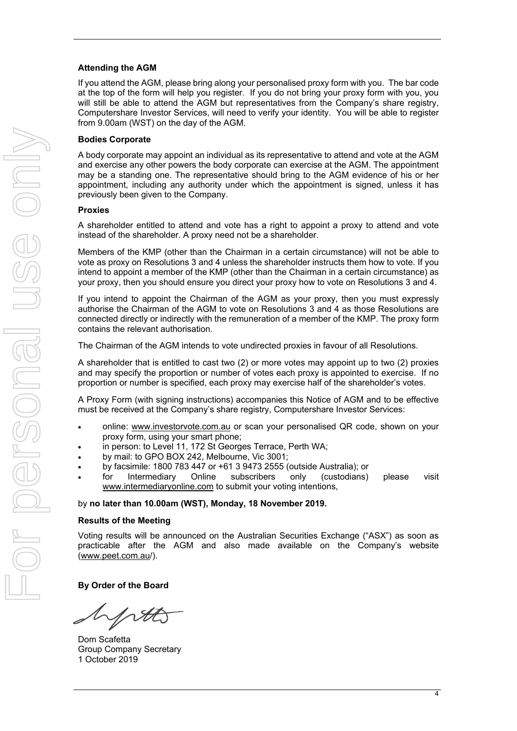#### **Attending the AGM**

If you attend the AGM, please bring along your personalised proxy form with you. The bar code at the top of the form will help you register. If you do not bring your proxy form with you, you will still be able to attend the AGM but representatives from the Company's share registry, Computershare Investor Services, will need to verify your identity. You will be able to register from 9.00am (WST) on the day of the AGM.

#### **Bodies Corporate**

A body corporate may appoint an individual as its representative to attend and vote at the AGM and exercise any other powers the body corporate can exercise at the AGM. The appointment may be a standing one. The representative should bring to the AGM evidence of his or her appointment, including any authority under which the appointment is signed, unless it has previously been given to the Company.

#### **Proxies**

A shareholder entitled to attend and vote has a right to appoint a proxy to attend and vote instead of the shareholder. A proxy need not be a shareholder.

Members of the KMP (other than the Chairman in a certain circumstance) will not be able to vote as proxy on Resolutions 3 and 4 unless the shareholder instructs them how to vote. If you intend to appoint a member of the KMP (other than the Chairman in a certain circumstance) as your proxy, then you should ensure you direct your proxy how to vote on Resolutions 3 and 4.

If you intend to appoint the Chairman of the AGM as your proxy, then you must expressly authorise the Chairman of the AGM to vote on Resolutions 3 and 4 as those Resolutions are connected directly or indirectly with the remuneration of a member of the KMP. The proxy form contains the relevant authorisation.

The Chairman of the AGM intends to vote undirected proxies in favour of all Resolutions.

A shareholder that is entitled to cast two (2) or more votes may appoint up to two (2) proxies and may specify the proportion or number of votes each proxy is appointed to exercise. If no proportion or number is specified, each proxy may exercise half of the shareholder's votes.

A Proxy Form (with signing instructions) accompanies this Notice of AGM and to be effective must be received at the Company's share registry, Computershare Investor Services:

- online: www.investorvote.com.au or scan your personalised QR code, shown on your proxy form, using your smart phone;
- in person: to Level 11, 172 St Georges Terrace, Perth WA;
- by mail: to GPO BOX 242, Melbourne, Vic 3001;
- by facsimile: 1800 783 447 or +61 3 9473 2555 (outside Australia); or
- for Intermediary Online subscribers only (custodians) please visit www.intermediaryonline.com to submit your voting intentions,

#### by **no later than 10.00am (WST), Monday, 18 November 2019.**

#### **Results of the Meeting**

Voting results will be announced on the Australian Securities Exchange ("ASX") as soon as practicable after the AGM and also made available on the Company's website (www.peet.com.au/).

#### **By Order of the Board**

Dom Scafetta Group Company Secretary 1 October 2019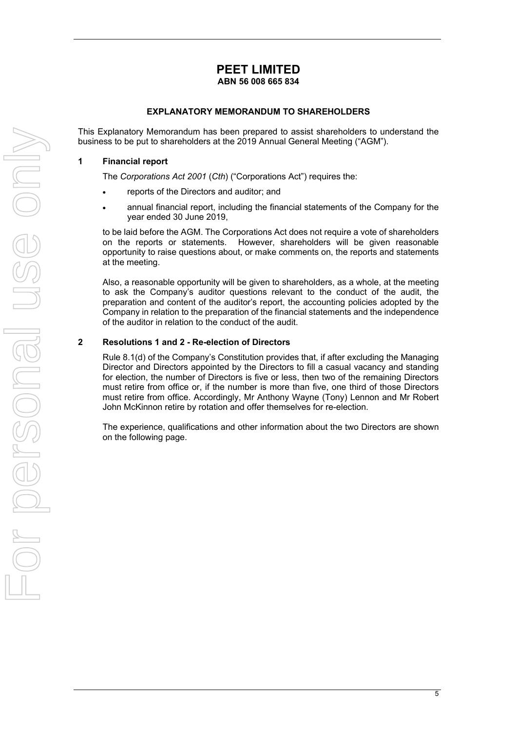#### **PEET LIMITED ABN 56 008 665 834**

#### **EXPLANATORY MEMORANDUM TO SHAREHOLDERS**

This Explanatory Memorandum has been prepared to assist shareholders to understand the business to be put to shareholders at the 2019 Annual General Meeting ("AGM").

#### **1 Financial report**

The *Corporations Act 2001* (*Cth*) ("Corporations Act") requires the:

- reports of the Directors and auditor; and
- annual financial report, including the financial statements of the Company for the year ended 30 June 2019,

to be laid before the AGM. The Corporations Act does not require a vote of shareholders on the reports or statements. However, shareholders will be given reasonable opportunity to raise questions about, or make comments on, the reports and statements at the meeting.

Also, a reasonable opportunity will be given to shareholders, as a whole, at the meeting to ask the Company's auditor questions relevant to the conduct of the audit, the preparation and content of the auditor's report, the accounting policies adopted by the Company in relation to the preparation of the financial statements and the independence of the auditor in relation to the conduct of the audit.

#### **2 Resolutions 1 and 2 - Re-election of Directors**

Rule 8.1(d) of the Company's Constitution provides that, if after excluding the Managing Director and Directors appointed by the Directors to fill a casual vacancy and standing for election, the number of Directors is five or less, then two of the remaining Directors must retire from office or, if the number is more than five, one third of those Directors must retire from office. Accordingly, Mr Anthony Wayne (Tony) Lennon and Mr Robert John McKinnon retire by rotation and offer themselves for re-election.

The experience, qualifications and other information about the two Directors are shown on the following page.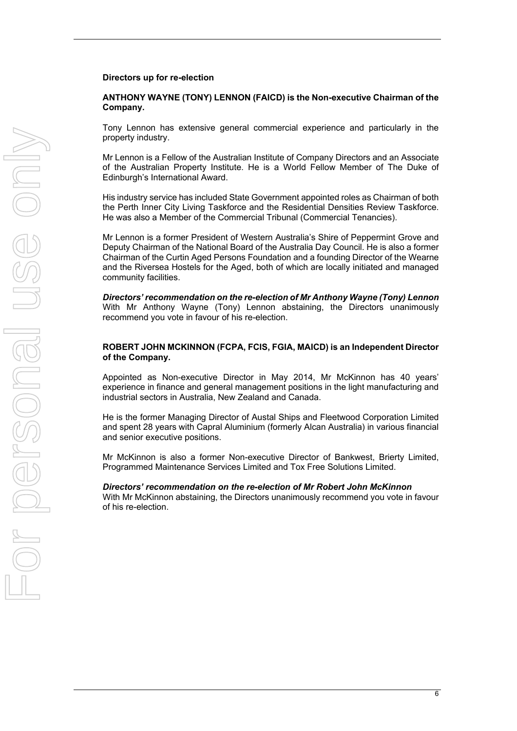#### **Directors up for re-election**

#### **ANTHONY WAYNE (TONY) LENNON (FAICD) is the Non-executive Chairman of the Company.**

Tony Lennon has extensive general commercial experience and particularly in the property industry.

Mr Lennon is a Fellow of the Australian Institute of Company Directors and an Associate of the Australian Property Institute. He is a World Fellow Member of The Duke of Edinburgh's International Award.

His industry service has included State Government appointed roles as Chairman of both the Perth Inner City Living Taskforce and the Residential Densities Review Taskforce. He was also a Member of the Commercial Tribunal (Commercial Tenancies).

Mr Lennon is a former President of Western Australia's Shire of Peppermint Grove and Deputy Chairman of the National Board of the Australia Day Council. He is also a former Chairman of the Curtin Aged Persons Foundation and a founding Director of the Wearne and the Riversea Hostels for the Aged, both of which are locally initiated and managed community facilities.

*Directors' recommendation on the re-election of Mr Anthony Wayne (Tony) Lennon*  With Mr Anthony Wayne (Tony) Lennon abstaining, the Directors unanimously recommend you vote in favour of his re-election.

#### **ROBERT JOHN MCKINNON (FCPA, FCIS, FGIA, MAICD) is an Independent Director of the Company.**

Appointed as Non-executive Director in May 2014, Mr McKinnon has 40 years' experience in finance and general management positions in the light manufacturing and industrial sectors in Australia, New Zealand and Canada.

He is the former Managing Director of Austal Ships and Fleetwood Corporation Limited and spent 28 years with Capral Aluminium (formerly Alcan Australia) in various financial and senior executive positions.

Mr McKinnon is also a former Non-executive Director of Bankwest, Brierty Limited, Programmed Maintenance Services Limited and Tox Free Solutions Limited.

*Directors' recommendation on the re-election of Mr Robert John McKinnon*  With Mr McKinnon abstaining, the Directors unanimously recommend you vote in favour of his re-election.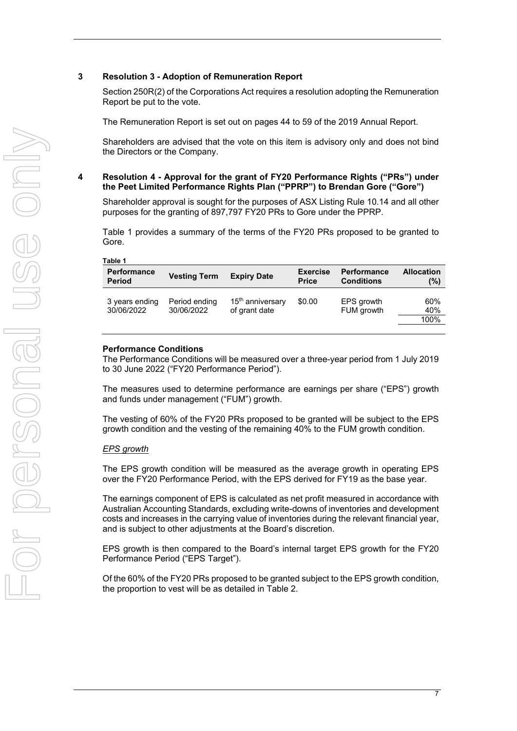#### **3 Resolution 3 - Adoption of Remuneration Report**

Section 250R(2) of the Corporations Act requires a resolution adopting the Remuneration Report be put to the vote.

The Remuneration Report is set out on pages 44 to 59 of the 2019 Annual Report.

Shareholders are advised that the vote on this item is advisory only and does not bind the Directors or the Company.

#### **4 Resolution 4 - Approval for the grant of FY20 Performance Rights ("PRs") under the Peet Limited Performance Rights Plan ("PPRP") to Brendan Gore ("Gore")**

Shareholder approval is sought for the purposes of ASX Listing Rule 10.14 and all other purposes for the granting of 897,797 FY20 PRs to Gore under the PPRP.

Table 1 provides a summary of the terms of the FY20 PRs proposed to be granted to Gore.

| Table 1                             |                             |                                               |                                 |                                         |                          |
|-------------------------------------|-----------------------------|-----------------------------------------------|---------------------------------|-----------------------------------------|--------------------------|
| <b>Performance</b><br><b>Period</b> | <b>Vesting Term</b>         | <b>Expiry Date</b>                            | <b>Exercise</b><br><b>Price</b> | <b>Performance</b><br><b>Conditions</b> | <b>Allocation</b><br>(%) |
| 3 years ending<br>30/06/2022        | Period ending<br>30/06/2022 | 15 <sup>th</sup> anniversary<br>of grant date | \$0.00                          | EPS growth<br>FUM growth                | 60%<br>40%<br>100%       |

#### **Performance Conditions**

The Performance Conditions will be measured over a three-year period from 1 July 2019 to 30 June 2022 ("FY20 Performance Period").

The measures used to determine performance are earnings per share ("EPS") growth and funds under management ("FUM") growth.

The vesting of 60% of the FY20 PRs proposed to be granted will be subject to the EPS growth condition and the vesting of the remaining 40% to the FUM growth condition.

#### *EPS growth*

The EPS growth condition will be measured as the average growth in operating EPS over the FY20 Performance Period, with the EPS derived for FY19 as the base year.

The earnings component of EPS is calculated as net profit measured in accordance with Australian Accounting Standards, excluding write-downs of inventories and development costs and increases in the carrying value of inventories during the relevant financial year, and is subject to other adjustments at the Board's discretion.

EPS growth is then compared to the Board's internal target EPS growth for the FY20 Performance Period ("EPS Target").

Of the 60% of the FY20 PRs proposed to be granted subject to the EPS growth condition, the proportion to vest will be as detailed in Table 2.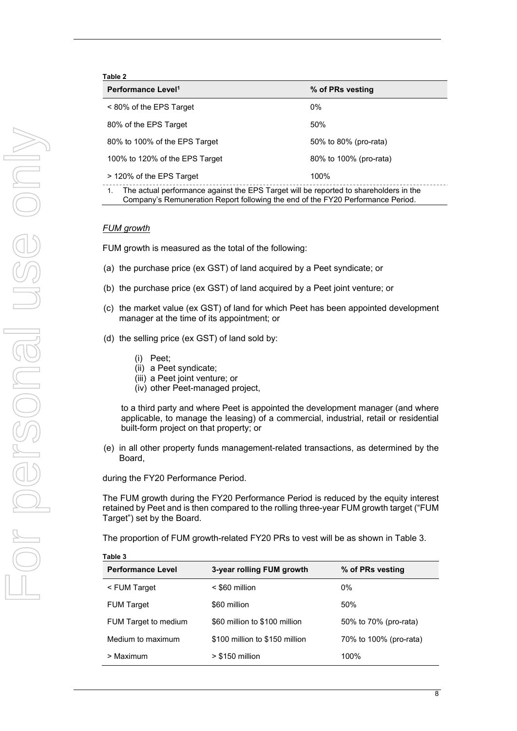#### **Table 2**

| Performance Level <sup>1</sup>                                                                                                                                                             | % of PRs vesting       |  |  |  |
|--------------------------------------------------------------------------------------------------------------------------------------------------------------------------------------------|------------------------|--|--|--|
| < 80% of the EPS Target                                                                                                                                                                    | $0\%$                  |  |  |  |
| 80% of the EPS Target                                                                                                                                                                      | 50%                    |  |  |  |
| 80% to 100% of the EPS Target                                                                                                                                                              | 50% to 80% (pro-rata)  |  |  |  |
| 100% to 120% of the EPS Target                                                                                                                                                             | 80% to 100% (pro-rata) |  |  |  |
| > 120% of the EPS Target                                                                                                                                                                   | 100%                   |  |  |  |
| The actual performance against the EPS Target will be reported to shareholders in the<br>1 <sub>1</sub><br>Company's Remuneration Report following the end of the FY20 Performance Period. |                        |  |  |  |

#### *FUM growth*

FUM growth is measured as the total of the following:

- (a) the purchase price (ex GST) of land acquired by a Peet syndicate; or
- (b) the purchase price (ex GST) of land acquired by a Peet joint venture; or
- (c) the market value (ex GST) of land for which Peet has been appointed development manager at the time of its appointment; or
- (d) the selling price (ex GST) of land sold by:
	- (i) Peet;
	- (ii) a Peet syndicate;
	- (iii) a Peet joint venture; or
	- (iv) other Peet-managed project,

to a third party and where Peet is appointed the development manager (and where applicable, to manage the leasing) of a commercial, industrial, retail or residential built-form project on that property; or

(e) in all other property funds management-related transactions, as determined by the Board,

during the FY20 Performance Period.

**Table 3** 

The FUM growth during the FY20 Performance Period is reduced by the equity interest retained by Peet and is then compared to the rolling three-year FUM growth target ("FUM Target") set by the Board.

The proportion of FUM growth-related FY20 PRs to vest will be as shown in Table 3.

| <b>Performance Level</b> | 3-year rolling FUM growth      | % of PRs vesting       |  |
|--------------------------|--------------------------------|------------------------|--|
| < FUM Target             | < \$60 million                 | $0\%$                  |  |
| <b>FUM Target</b>        | \$60 million                   | 50%                    |  |
| FUM Target to medium     | \$60 million to \$100 million  | 50% to 70% (pro-rata)  |  |
| Medium to maximum        | \$100 million to \$150 million | 70% to 100% (pro-rata) |  |
| > Maximum                | $> $150$ million               | 100%                   |  |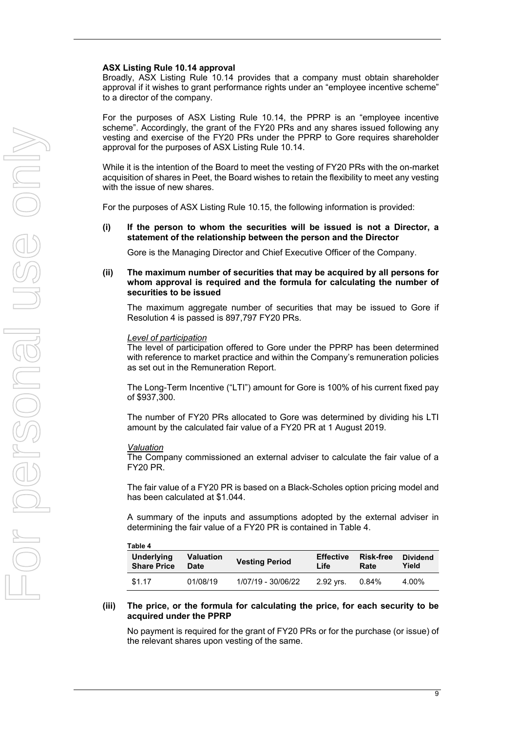#### **ASX Listing Rule 10.14 approval**

Broadly, ASX Listing Rule 10.14 provides that a company must obtain shareholder approval if it wishes to grant performance rights under an "employee incentive scheme" to a director of the company.

For the purposes of ASX Listing Rule 10.14, the PPRP is an "employee incentive scheme". Accordingly, the grant of the FY20 PRs and any shares issued following any vesting and exercise of the FY20 PRs under the PPRP to Gore requires shareholder approval for the purposes of ASX Listing Rule 10.14.

While it is the intention of the Board to meet the vesting of FY20 PRs with the on-market acquisition of shares in Peet, the Board wishes to retain the flexibility to meet any vesting with the issue of new shares.

For the purposes of ASX Listing Rule 10.15, the following information is provided:

**(i) If the person to whom the securities will be issued is not a Director, a statement of the relationship between the person and the Director** 

Gore is the Managing Director and Chief Executive Officer of the Company.

**(ii) The maximum number of securities that may be acquired by all persons for whom approval is required and the formula for calculating the number of securities to be issued** 

The maximum aggregate number of securities that may be issued to Gore if Resolution 4 is passed is 897,797 FY20 PRs.

#### *Level of participation*

The level of participation offered to Gore under the PPRP has been determined with reference to market practice and within the Company's remuneration policies as set out in the Remuneration Report.

The Long-Term Incentive ("LTI") amount for Gore is 100% of his current fixed pay of \$937,300.

The number of FY20 PRs allocated to Gore was determined by dividing his LTI amount by the calculated fair value of a FY20 PR at 1 August 2019.

#### *Valuation*

The Company commissioned an external adviser to calculate the fair value of a FY20 PR.

The fair value of a FY20 PR is based on a Black-Scholes option pricing model and has been calculated at \$1.044.

A summary of the inputs and assumptions adopted by the external adviser in determining the fair value of a FY20 PR is contained in Table 4.

#### **Table 4**

| Underlying         | <b>Valuation</b> | <b>Vesting Period</b> | <b>Effective</b> | <b>Risk-free</b> | <b>Dividend</b> |
|--------------------|------------------|-----------------------|------------------|------------------|-----------------|
| <b>Share Price</b> | <b>Date</b>      |                       | Life             | Rate             | Yield           |
| \$1.17             | 01/08/19         | 1/07/19 - 30/06/22    | 2.92 vrs.        | 0.84%            | 4.00%           |

#### **(iii) The price, or the formula for calculating the price, for each security to be acquired under the PPRP**

No payment is required for the grant of FY20 PRs or for the purchase (or issue) of the relevant shares upon vesting of the same.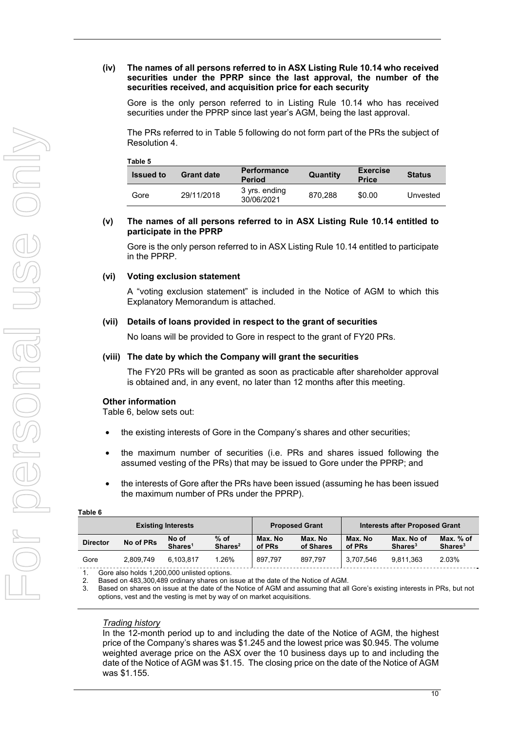#### **(iv) The names of all persons referred to in ASX Listing Rule 10.14 who received securities under the PPRP since the last approval, the number of the securities received, and acquisition price for each security**

Gore is the only person referred to in Listing Rule 10.14 who has received securities under the PPRP since last year's AGM, being the last approval.

The PRs referred to in Table 5 following do not form part of the PRs the subject of Resolution 4.

#### **Table 5**

| <b>Issued to</b> | <b>Grant date</b> | <b>Performance</b><br><b>Period</b> |         | <b>Exercise</b><br><b>Price</b> | <b>Status</b> |
|------------------|-------------------|-------------------------------------|---------|---------------------------------|---------------|
| Gore             | 29/11/2018        | 3 yrs. ending<br>30/06/2021         | 870.288 | \$0.00                          | Unvested      |

#### **(v) The names of all persons referred to in ASX Listing Rule 10.14 entitled to participate in the PPRP**

Gore is the only person referred to in ASX Listing Rule 10.14 entitled to participate in the PPRP.

#### **(vi) Voting exclusion statement**

A "voting exclusion statement" is included in the Notice of AGM to which this Explanatory Memorandum is attached.

#### **(vii) Details of loans provided in respect to the grant of securities**

No loans will be provided to Gore in respect to the grant of FY20 PRs.

#### **(viii) The date by which the Company will grant the securities**

The FY20 PRs will be granted as soon as practicable after shareholder approval is obtained and, in any event, no later than 12 months after this meeting.

#### **Other information**

Table 6, below sets out:

- the existing interests of Gore in the Company's shares and other securities;
- the maximum number of securities (i.e. PRs and shares issued following the assumed vesting of the PRs) that may be issued to Gore under the PPRP; and
- the interests of Gore after the PRs have been issued (assuming he has been issued the maximum number of PRs under the PPRP).

| Ł |  |
|---|--|
| I |  |

| <b>Existing Interests</b> |           |                              | <b>Proposed Grant</b>         |                   | <b>Interests after Proposed Grant</b> |                   |                                   |                                  |
|---------------------------|-----------|------------------------------|-------------------------------|-------------------|---------------------------------------|-------------------|-----------------------------------|----------------------------------|
| <b>Director</b>           | No of PRs | No of<br>Shares <sup>1</sup> | $%$ of<br>Shares <sup>2</sup> | Max. No<br>of PRs | Max. No<br>of Shares                  | Max. No<br>of PRs | Max. No of<br>Shares <sup>3</sup> | Max. % of<br>Shares <sup>3</sup> |
| Gore                      | 2.809.749 | 6.103.817                    | 1.26%                         | 897.797           | 897.797                               | 3,707,546         | 9.811.363                         | 2.03%                            |

1. Gore also holds 1,200,000 unlisted options.

2. Based on 483,300,489 ordinary shares on issue at the date of the Notice of AGM.

3. Based on shares on issue at the date of the Notice of AGM and assuming that all Gore's existing interests in PRs, but not options, vest and the vesting is met by way of on market acquisitions.

#### *Trading history*

In the 12-month period up to and including the date of the Notice of AGM, the highest price of the Company's shares was \$1.245 and the lowest price was \$0.945. The volume weighted average price on the ASX over the 10 business days up to and including the date of the Notice of AGM was \$1.15. The closing price on the date of the Notice of AGM was \$1.155.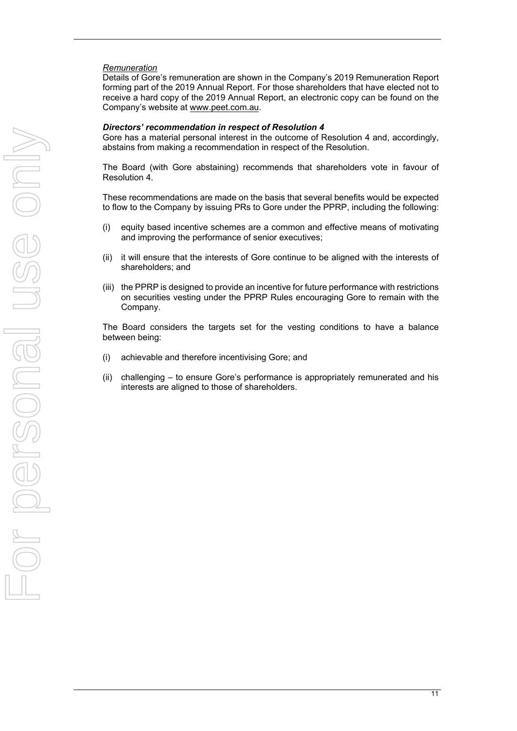#### *Remuneration*

Details of Gore's remuneration are shown in the Company's 2019 Remuneration Report forming part of the 2019 Annual Report. For those shareholders that have elected not to receive a hard copy of the 2019 Annual Report, an electronic copy can be found on the Company's website at www.peet.com.au.

#### *Directors' recommendation in respect of Resolution 4*

Gore has a material personal interest in the outcome of Resolution 4 and, accordingly, abstains from making a recommendation in respect of the Resolution.

The Board (with Gore abstaining) recommends that shareholders vote in favour of Resolution 4.

These recommendations are made on the basis that several benefits would be expected to flow to the Company by issuing PRs to Gore under the PPRP, including the following:

- (i) equity based incentive schemes are a common and effective means of motivating and improving the performance of senior executives;
- (ii) it will ensure that the interests of Gore continue to be aligned with the interests of shareholders; and
- (iii) the PPRP is designed to provide an incentive for future performance with restrictions on securities vesting under the PPRP Rules encouraging Gore to remain with the Company.

The Board considers the targets set for the vesting conditions to have a balance between being:

- (i) achievable and therefore incentivising Gore; and
- (ii) challenging to ensure Gore's performance is appropriately remunerated and his interests are aligned to those of shareholders.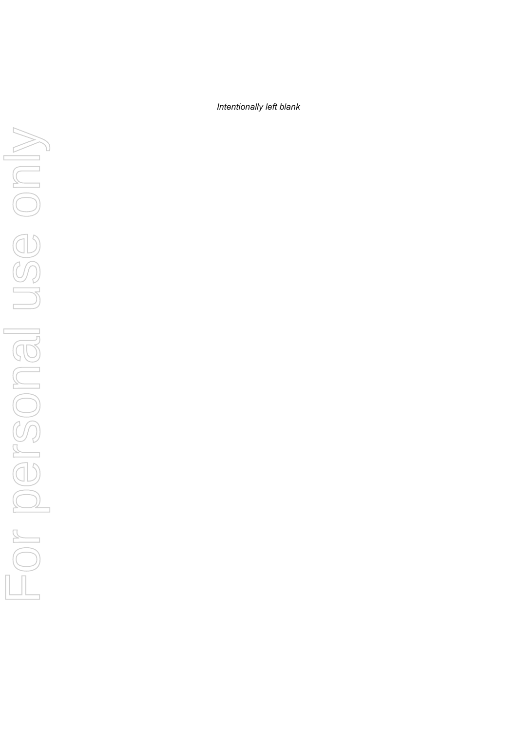#### *Intentionally left blank*

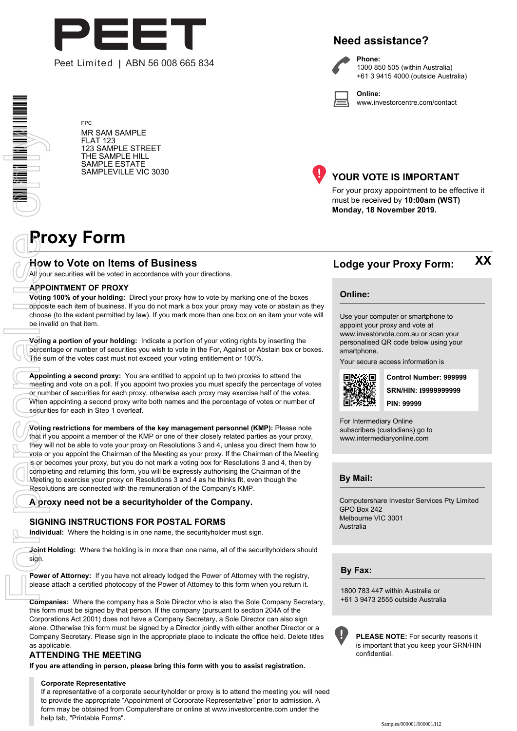

Peet Limited **|** ABN 56 008 665 834

#### **Need assistance?**

**Phone:**

1300 850 505 (within Australia) +61 3 9415 4000 (outside Australia)

**Online:** www.investorcentre.com/contact

PPC MR SAM SAMPLE FLAT 123 123 SAMPLE STREET THE SAMPLE HILL SAMPLE ESTATE SAMPLEVILLE VIC 3030



#### **YOUR VOTE IS IMPORTANT**

For your proxy appointment to be effective it must be received by **10:00am (WST) Monday, 18 November 2019.**

## **Proxy Form**

#### **How to Vote on Items of Business Lodge your Proxy Form:**

All your securities will be voted in accordance with your directions.

#### **APPOINTMENT OF PROXY**

**Voting 100% of your holding:** Direct your proxy how to vote by marking one of the boxes opposite each item of business. If you do not mark a box your proxy may vote or abstain as they choose (to the extent permitted by law). If you mark more than one box on an item your vote will be invalid on that item.

**Voting a portion of your holding:** Indicate a portion of your voting rights by inserting the percentage or number of securities you wish to vote in the For, Against or Abstain box or boxes. The sum of the votes cast must not exceed your voting entitlement or 100%.

**Appointing a second proxy:** You are entitled to appoint up to two proxies to attend the meeting and vote on a poll. If you appoint two proxies you must specify the percentage of votes or number of securities for each proxy, otherwise each proxy may exercise half of the votes. When appointing a second proxy write both names and the percentage of votes or number of securities for each in Step 1 overleaf.

**Voting restrictions for members of the key management personnel (KMP):** Please note that if you appoint a member of the KMP or one of their closely related parties as your proxy, they will not be able to vote your proxy on Resolutions 3 and 4, unless you direct them how to vote or you appoint the Chairman of the Meeting as your proxy. If the Chairman of the Meeting is or becomes your proxy, but you do not mark a voting box for Resolutions 3 and 4, then by completing and returning this form, you will be expressly authorising the Chairman of the Meeting to exercise your proxy on Resolutions 3 and 4 as he thinks fit, even though the Resolutions are connected with the remuneration of the Company's KMP.

#### **A proxy need not be a securityholder of the Company.**

#### **SIGNING INSTRUCTIONS FOR POSTAL FORMS**

**Individual:** Where the holding is in one name, the securityholder must sign.

**Joint Holding:** Where the holding is in more than one name, all of the securityholders should sign.

**Power of Attorney:** If you have not already lodged the Power of Attorney with the registry, please attach a certified photocopy of the Power of Attorney to this form when you return it.

**Companies:** Where the company has a Sole Director who is also the Sole Company Secretary, this form must be signed by that person. If the company (pursuant to section 204A of the Corporations Act 2001) does not have a Company Secretary, a Sole Director can also sign alone. Otherwise this form must be signed by a Director jointly with either another Director or a Company Secretary. Please sign in the appropriate place to indicate the office held. Delete titles as applicable.

#### **ATTENDING THE MEETING**

**If you are attending in person, please bring this form with you to assist registration.**

#### **Corporate Representative**

If a representative of a corporate securityholder or proxy is to attend the meeting you will need to provide the appropriate "Appointment of Corporate Representative" prior to admission. A form may be obtained from Computershare or online at www.investorcentre.com under the help tab, "Printable Forms".

**XX**

#### **Online:**

Use your computer or smartphone to appoint your proxy and vote at www.investorvote.com.au or scan your personalised QR code below using your smartphone.

Your secure access information is



**SRN/HIN: I9999999999 Control Number: 999999 PIN: 99999**

For Intermediary Online subscribers (custodians) go to www.intermediaryonline.com

**By Mail:**

Computershare Investor Services Pty Limited GPO Box 242 Melbourne VIC 3001 Australia

**By Fax:**

1800 783 447 within Australia or +61 3 9473 2555 outside Australia

**PLEASE NOTE:** For security reasons it is important that you keep your SRN/HIN confidential.